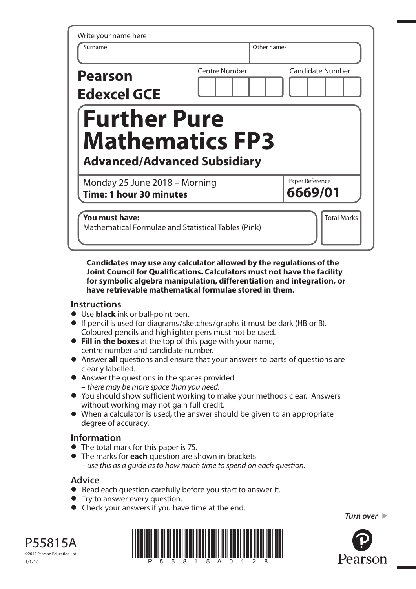| <b>Centre Number</b><br><b>Further Pure</b><br><b>Mathematics FP3</b> | <b>Candidate Number</b>                             |
|-----------------------------------------------------------------------|-----------------------------------------------------|
|                                                                       |                                                     |
| <b>Advanced/Advanced Subsidiary</b>                                   |                                                     |
| Monday 25 June 2018 - Morning                                         | Paper Reference<br>6669/01                          |
|                                                                       | Mathematical Formulae and Statistical Tables (Pink) |

**Candidates may use any calculator allowed by the regulations of the Joint Council for Qualifications. Calculators must not have the facility for symbolic algebra manipulation, differentiation and integration, or have retrievable mathematical formulae stored in them.** 

## **Instructions**

- **•** Use **black** ink or ball-point pen.
- **•** If pencil is used for diagrams/sketches/graphs it must be dark (HB or B). Coloured pencils and highlighter pens must not be used.
- **• Fill in the boxes** at the top of this page with your name, centre number and candidate number.
- **•** Answer **all** questions and ensure that your answers to parts of questions are clearly labelled.
- **•** Answer the questions in the spaces provided – there may be more space than you need.
- **•** You should show sufficient working to make your methods clear. Answers without working may not gain full credit.
- **•** When a calculator is used, the answer should be given to an appropriate degree of accuracy.

## **Information**

- **•** The total mark for this paper is 75.
- **•** The marks for **each** question are shown in brackets – use this as a guide as to how much time to spend on each question.

## **Advice**

- **Advice**<br>● Read each question carefully before you start to answer it.
- Read each question carefully<br>• Try to answer every question.
- Try to answer every question.<br>• Check your answers if you have time at the end.

*Turn over* 



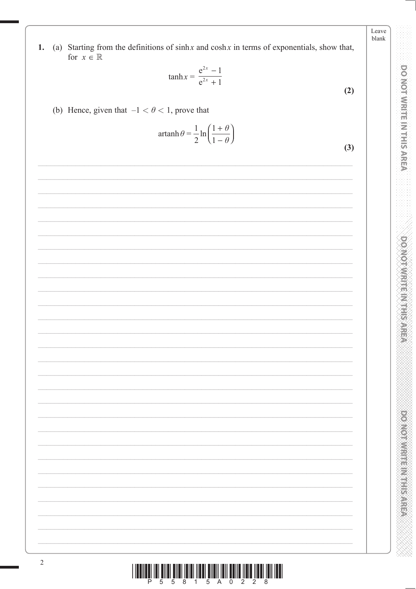(a) Starting from the definitions of  $sinh x$  and  $cosh x$  in terms of exponentials, show that,  $1.$ for  $x \in \mathbb{R}$ 

$$
\tanh x = \frac{e^{2x} - 1}{e^{2x} + 1}
$$
 (2)

(b) Hence, given that  $-1 < \theta < 1$ , prove that

$$
\operatorname{artanh} \theta = \frac{1}{2} \ln \left( \frac{1+\theta}{1-\theta} \right)
$$

| ∸ | $\sqrt{1}$ | $\cup$ |  |  |     |
|---|------------|--------|--|--|-----|
|   |            |        |  |  | (3) |
|   |            |        |  |  |     |
|   |            |        |  |  |     |
|   |            |        |  |  |     |
|   |            |        |  |  |     |
|   |            |        |  |  |     |
|   |            |        |  |  |     |
|   |            |        |  |  |     |
|   |            |        |  |  |     |
|   |            |        |  |  |     |
|   |            |        |  |  |     |
|   |            |        |  |  |     |
|   |            |        |  |  |     |
|   |            |        |  |  |     |
|   |            |        |  |  |     |
|   |            |        |  |  |     |
|   |            |        |  |  |     |
|   |            |        |  |  |     |
|   |            |        |  |  |     |
|   |            |        |  |  |     |
|   |            |        |  |  |     |
|   |            |        |  |  |     |
|   |            |        |  |  |     |
|   |            |        |  |  |     |
|   |            |        |  |  |     |
|   |            |        |  |  |     |
|   |            |        |  |  |     |
|   |            |        |  |  |     |
|   |            |        |  |  |     |
|   |            |        |  |  |     |
|   |            |        |  |  |     |
|   |            |        |  |  |     |
|   |            |        |  |  |     |
|   |            |        |  |  |     |
|   |            |        |  |  |     |
|   |            |        |  |  |     |
|   |            |        |  |  |     |
|   |            |        |  |  |     |
|   |            |        |  |  |     |
|   |            |        |  |  |     |
|   |            |        |  |  |     |
|   |            |        |  |  |     |
|   |            |        |  |  |     |
|   |            |        |  |  |     |
|   |            |        |  |  |     |
|   |            |        |  |  |     |
|   |            |        |  |  |     |
|   |            |        |  |  |     |
|   |            |        |  |  |     |
|   |            |        |  |  |     |
|   |            |        |  |  |     |
|   |            |        |  |  |     |
|   |            |        |  |  |     |
|   |            |        |  |  |     |
|   |            |        |  |  |     |
|   |            |        |  |  |     |
|   |            |        |  |  |     |
|   |            |        |  |  |     |
|   |            |        |  |  |     |
|   |            |        |  |  |     |
|   |            |        |  |  |     |
|   |            |        |  |  |     |
|   |            |        |  |  |     |

**DO NOT WRITE IN THIS AREA DOMOTIVE IN EFFECT PRODUCTS IN THE REPORT OF** 

Leave blank

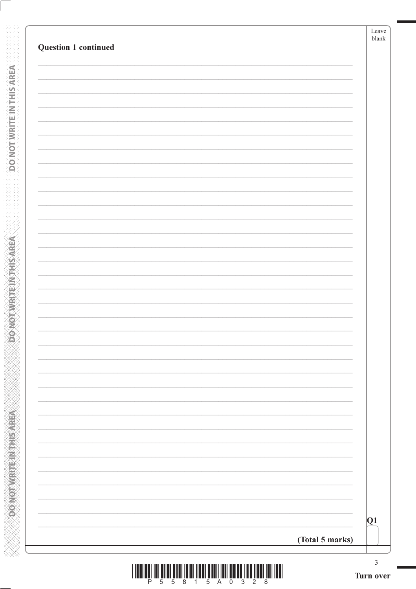| Question 1 continued |                 | Leave<br>$b$ lank |
|----------------------|-----------------|-------------------|
|                      |                 |                   |
|                      |                 |                   |
|                      |                 |                   |
|                      |                 |                   |
|                      |                 |                   |
|                      |                 |                   |
|                      |                 |                   |
|                      |                 |                   |
|                      |                 |                   |
|                      |                 |                   |
|                      |                 |                   |
|                      |                 |                   |
|                      |                 |                   |
|                      |                 |                   |
|                      |                 |                   |
|                      |                 |                   |
|                      |                 |                   |
|                      |                 |                   |
|                      |                 |                   |
|                      |                 |                   |
|                      |                 |                   |
|                      |                 |                   |
|                      |                 |                   |
|                      |                 |                   |
|                      |                 |                   |
|                      |                 |                   |
|                      |                 |                   |
|                      |                 |                   |
|                      |                 |                   |
|                      |                 |                   |
|                      |                 | Q1                |
|                      | (Total 5 marks) |                   |

**DONOTWEITEINTHISAREA**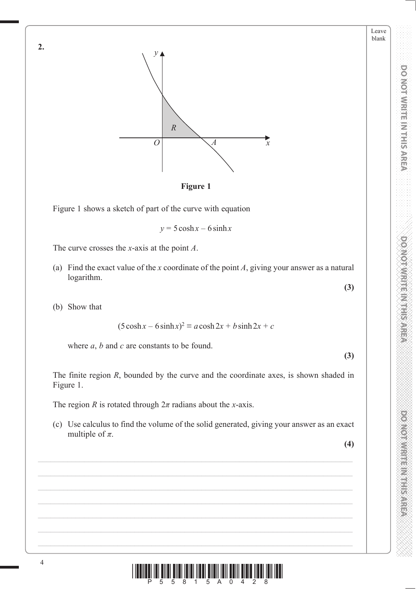**PONOT WRITE IN THIS AREA DO NOT WRITE IN THIS AREA DO NOT WRITE IN THIS AREA DO NOT WRITE IN THIS AREA DO NOT W DO NOT WRITE IN THIS AREA** 

Leave blank

**PONDIAN REPORT SARRING** 



**Figure 1**

Figure 1 shows a sketch of part of the curve with equation

 $y = 5 \cosh x - 6 \sinh x$ 

The curve crosses the *x*-axis at the point *A*.

- (a) Find the exact value of the *x* coordinate of the point *A*, giving your answer as a natural logarithm.
- (b) Show that

**2.**

$$
(5\cosh x - 6\sinh x)^2 \equiv a\cosh 2x + b\sinh 2x + c
$$

where *a*, *b* and *c* are constants to be found.

**(3)**

**(3)**

The finite region *R*, bounded by the curve and the coordinate axes, is shown shaded in Figure 1.

The region *R* is rotated through  $2\pi$  radians about the *x*-axis.

 (c) Use calculus to find the volume of the solid generated, giving your answer as an exact multiple of  $\pi$ .

**(4)**

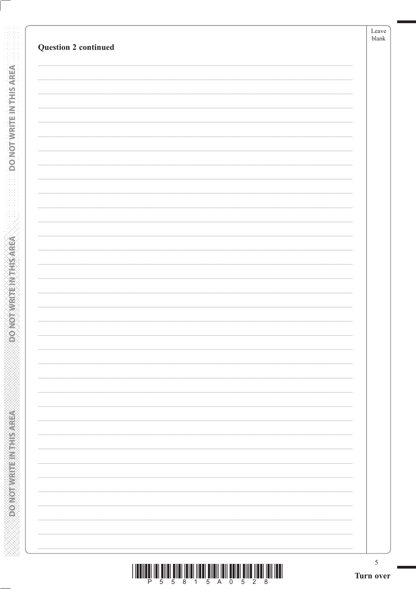| <b>Question 2 continued</b> | Leave<br>$_{\rm blank}$ |
|-----------------------------|-------------------------|
|                             |                         |
|                             |                         |
|                             |                         |
|                             |                         |
|                             |                         |
|                             |                         |
|                             |                         |
|                             |                         |
|                             |                         |
|                             |                         |
|                             |                         |
|                             |                         |
|                             |                         |
|                             |                         |
|                             |                         |
|                             |                         |
|                             |                         |
|                             |                         |
|                             |                         |

**DO NOT WEITE IN THIS AREA** 

**EXPRESS TO MANUS IN THE AREA** 

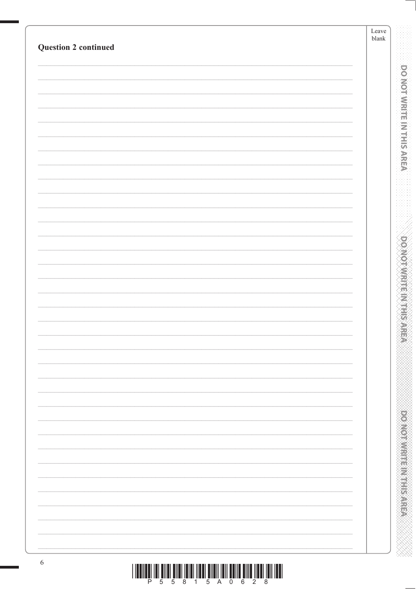| <b>Question 2 continued</b> | ${\rm Leave}$<br>$b$ lank |
|-----------------------------|---------------------------|
|                             |                           |
|                             |                           |
|                             |                           |
|                             |                           |
|                             |                           |
|                             |                           |
|                             |                           |
|                             |                           |
|                             |                           |
|                             |                           |
|                             |                           |
|                             |                           |
|                             |                           |
|                             |                           |
|                             |                           |
|                             |                           |
|                             |                           |
|                             |                           |
|                             |                           |
|                             |                           |
|                             |                           |
|                             |                           |
|                             |                           |
|                             |                           |
|                             |                           |
|                             |                           |
|                             |                           |
|                             |                           |
|                             |                           |
|                             |                           |
|                             |                           |
|                             |                           |
|                             |                           |
|                             |                           |
|                             |                           |

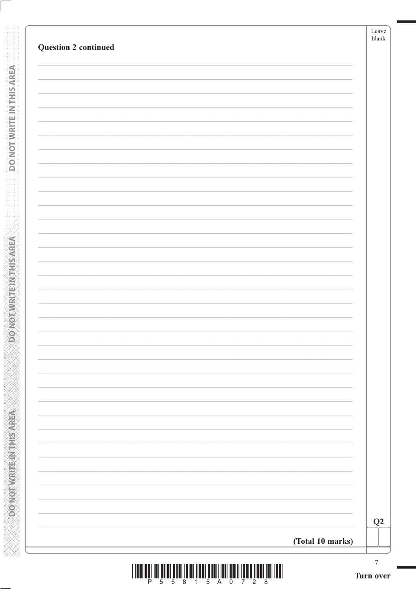| <b>Question 2 continued</b> |                  | Leave<br>$b$ lank |
|-----------------------------|------------------|-------------------|
|                             |                  |                   |
|                             |                  |                   |
|                             |                  |                   |
|                             |                  |                   |
|                             |                  |                   |
|                             |                  |                   |
|                             |                  |                   |
|                             |                  |                   |
|                             |                  |                   |
|                             |                  |                   |
|                             |                  |                   |
|                             |                  |                   |
|                             |                  |                   |
|                             |                  |                   |
|                             |                  |                   |
|                             |                  |                   |
|                             |                  |                   |
|                             |                  |                   |
|                             |                  |                   |
|                             |                  |                   |
|                             |                  |                   |
|                             |                  |                   |
|                             |                  |                   |
|                             |                  |                   |
|                             |                  |                   |
|                             |                  |                   |
|                             |                  |                   |
|                             |                  |                   |
|                             |                  |                   |
|                             |                  |                   |
|                             |                  |                   |
|                             |                  | Q2                |
|                             |                  |                   |
|                             | (Total 10 marks) |                   |

**DONOTWATEWTHSAREA**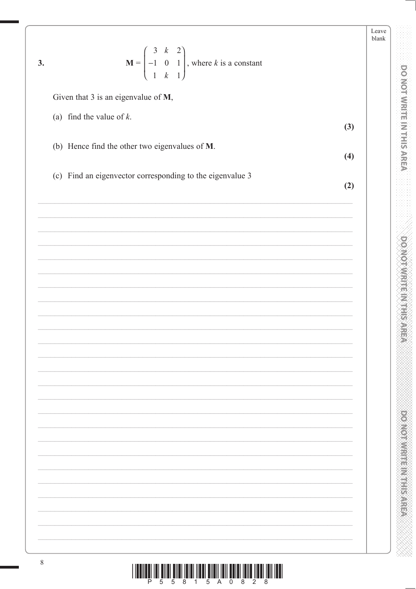| 3. | $\mathbf{M} = \begin{pmatrix} 3 & k & 2 \\ -1 & 0 & 1 \\ 1 & k & 1 \end{pmatrix}$ , where k is a constant | Leave<br>blank |                                          |
|----|-----------------------------------------------------------------------------------------------------------|----------------|------------------------------------------|
|    |                                                                                                           |                | <b>DO NOT WRITE IN THIS AREA</b>         |
|    | Given that 3 is an eigenvalue of M,                                                                       |                |                                          |
|    | (a) find the value of $k$ .<br>(3)                                                                        |                |                                          |
|    | (b) Hence find the other two eigenvalues of M.                                                            |                |                                          |
|    | (4)                                                                                                       |                |                                          |
|    | (c) Find an eigenvector corresponding to the eigenvalue 3<br>(2)                                          |                |                                          |
|    |                                                                                                           |                |                                          |
|    |                                                                                                           |                |                                          |
|    |                                                                                                           |                | <b>DO NOT WRITE IN THIS ARE</b>          |
|    |                                                                                                           |                |                                          |
|    |                                                                                                           |                |                                          |
|    |                                                                                                           |                |                                          |
|    |                                                                                                           |                |                                          |
|    |                                                                                                           |                |                                          |
|    |                                                                                                           |                |                                          |
|    |                                                                                                           |                |                                          |
|    |                                                                                                           |                | <b>PONONE PROPERTY AND INTERNATIONAL</b> |
|    |                                                                                                           |                |                                          |
|    |                                                                                                           |                |                                          |
|    |                                                                                                           |                |                                          |
|    |                                                                                                           |                |                                          |
|    |                                                                                                           |                |                                          |
|    |                                                                                                           |                |                                          |
| 8  |                                                                                                           |                |                                          |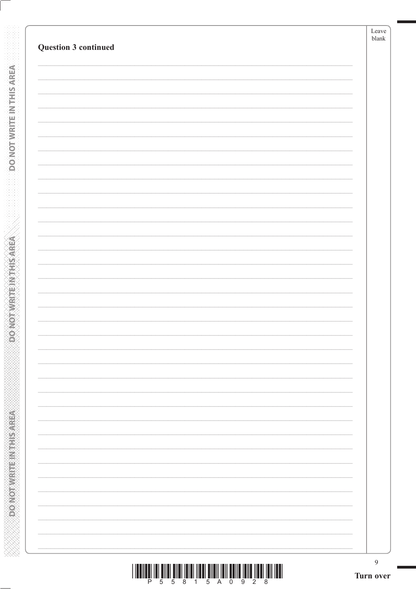| <b>Question 3 continued</b> | Leave<br>$\ensuremath{\textrm{blank}}$ |
|-----------------------------|----------------------------------------|
|                             |                                        |
|                             |                                        |
|                             |                                        |
|                             |                                        |
|                             |                                        |
|                             |                                        |
|                             |                                        |
|                             |                                        |
|                             |                                        |
|                             |                                        |
|                             |                                        |
|                             |                                        |
|                             |                                        |
|                             |                                        |
|                             |                                        |
|                             |                                        |
|                             |                                        |
|                             |                                        |
|                             |                                        |
|                             |                                        |
|                             |                                        |
|                             |                                        |
|                             |                                        |
|                             |                                        |
|                             |                                        |
|                             |                                        |
|                             | $\overline{9}$                         |

**DONOTWEITEINTHIS AREA** 

**SOONOT WRITEIN THIS AREA** 

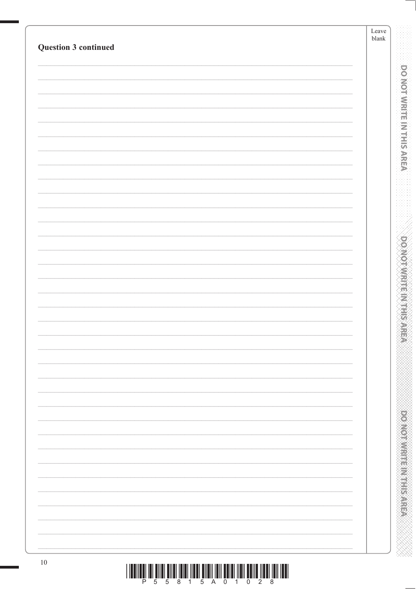| Question 3 continued | Leave<br>${\tt blank}$ |
|----------------------|------------------------|
|                      |                        |
|                      |                        |
|                      |                        |
|                      |                        |
|                      |                        |
|                      |                        |
|                      |                        |
|                      |                        |
|                      |                        |
|                      |                        |
|                      |                        |
|                      |                        |
|                      |                        |
|                      |                        |
|                      |                        |
|                      |                        |
|                      |                        |
|                      |                        |
|                      |                        |
|                      |                        |
|                      |                        |
|                      |                        |
|                      |                        |
|                      |                        |
|                      |                        |
|                      |                        |
|                      |                        |
|                      |                        |
|                      |                        |
|                      |                        |
|                      |                        |
|                      |                        |
|                      |                        |
|                      |                        |
|                      |                        |
|                      |                        |
|                      |                        |
|                      |                        |
|                      |                        |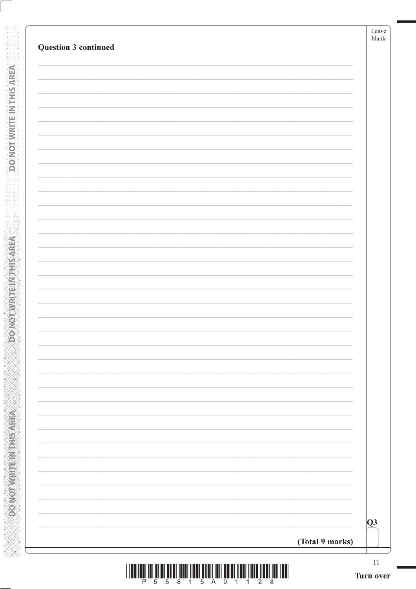|                 | $11\,$<br>Turn over |
|-----------------|---------------------|
| (Total 9 marks) | $\overline{Q}3$     |
|                 |                     |
|                 |                     |
|                 |                     |
|                 |                     |
|                 |                     |
|                 |                     |
|                 |                     |
|                 |                     |
|                 |                     |
|                 |                     |
|                 |                     |
|                 |                     |
|                 |                     |
|                 |                     |
|                 |                     |
|                 |                     |
|                 |                     |
|                 |                     |
|                 |                     |

**DO NOT WEITE IN THIS AREA** 

|  |  |  |  | <u> Ailar ar is farar film a shekrar ta shekrar ta shekrar ta shekrar t</u> |  |  |
|--|--|--|--|-----------------------------------------------------------------------------|--|--|
|  |  |  |  | 55815A01128                                                                 |  |  |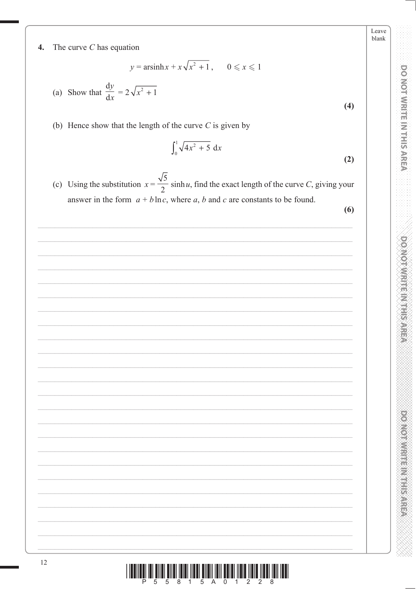Leave blank

DOMOTWRITE IN THIS AREA

**PONORA DE L'ANGELIA DE L'ANGELIA** 

ati na t<sub>ait</sub>a tao <sup>g</sup>an ina ina tao amin'ny faritr'i Anta<sup>r</sup>ia delivera.<br>La faratra della faratra della faratra della faratra della faratra della faratra della faratra della faratra del

## The curve  $C$  has equation  $\overline{4}$ .

 $y = \operatorname{arsinh} x + x\sqrt{x^2 + 1}$ ,  $0 \le x \le 1$ 

(a) Show that 
$$
\frac{dy}{dx} = 2\sqrt{x^2 + 1}
$$

(b) Hence show that the length of the curve  $C$  is given by

$$
\int_0^1 \sqrt{4x^2 + 5} \, \mathrm{d}x \tag{2}
$$

(c) Using the substitution  $x = \frac{\sqrt{5}}{2} \sinh u$ , find the exact length of the curve C, giving your answer in the form  $a + b \ln c$ , where a, b and c are constants to be found.

 $(6)$ 

 $(4)$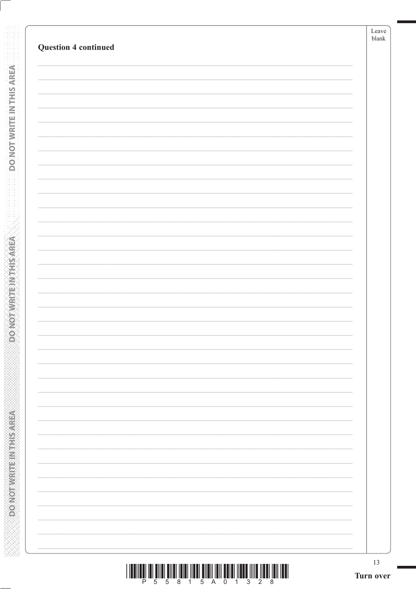|                             | Leave<br>${\tt blank}$ |
|-----------------------------|------------------------|
| <b>Question 4 continued</b> |                        |
|                             |                        |
|                             |                        |
|                             |                        |
|                             |                        |
|                             |                        |
|                             |                        |
|                             |                        |
|                             |                        |
|                             |                        |
|                             |                        |
|                             |                        |
|                             |                        |
|                             |                        |
|                             |                        |
|                             |                        |
|                             |                        |
|                             |                        |
|                             |                        |
|                             |                        |
|                             |                        |
|                             |                        |
|                             |                        |
|                             |                        |
|                             |                        |
|                             |                        |
|                             |                        |
|                             |                        |
|                             |                        |
|                             |                        |
|                             |                        |
|                             |                        |
|                             |                        |
|                             |                        |

**DONOTWRITEWOHIS AREA** 

**CONCRETE INTERNATION** 

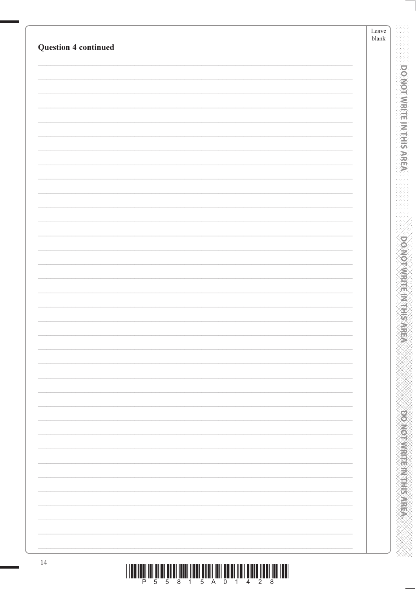| <b>Question 4 continued</b>                                                         | Leave<br>${\it blank}$             |
|-------------------------------------------------------------------------------------|------------------------------------|
|                                                                                     |                                    |
|                                                                                     |                                    |
|                                                                                     | <b>DO NOT WRITE IN THIS AREA</b>   |
|                                                                                     |                                    |
|                                                                                     |                                    |
|                                                                                     |                                    |
|                                                                                     |                                    |
|                                                                                     |                                    |
|                                                                                     |                                    |
|                                                                                     |                                    |
|                                                                                     |                                    |
|                                                                                     |                                    |
|                                                                                     |                                    |
|                                                                                     |                                    |
|                                                                                     |                                    |
|                                                                                     | <b>DOMOTAME MARKS</b>              |
|                                                                                     |                                    |
|                                                                                     |                                    |
|                                                                                     |                                    |
|                                                                                     | 高                                  |
|                                                                                     |                                    |
|                                                                                     |                                    |
|                                                                                     |                                    |
|                                                                                     |                                    |
|                                                                                     |                                    |
|                                                                                     |                                    |
|                                                                                     |                                    |
|                                                                                     |                                    |
|                                                                                     |                                    |
|                                                                                     |                                    |
|                                                                                     |                                    |
|                                                                                     |                                    |
|                                                                                     | <b>DOMOGRAPH AND REAL PROPERTY</b> |
|                                                                                     |                                    |
|                                                                                     |                                    |
|                                                                                     |                                    |
| 14<br>$\begin{smallmatrix} \end{smallmatrix} \begin{smallmatrix} \end{smallmatrix}$ |                                    |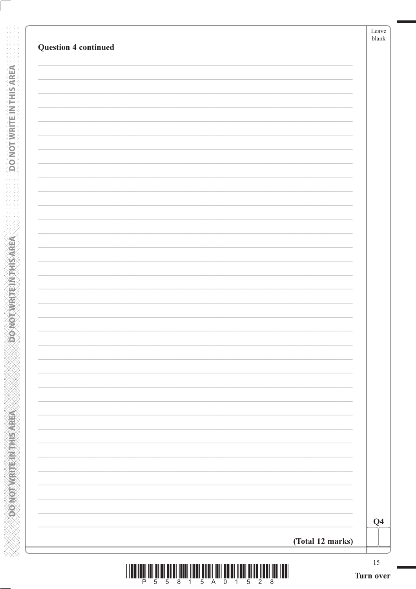| <b>Question 4 continued</b> | Leave<br>${\tt blank}$ |
|-----------------------------|------------------------|
|                             |                        |
|                             |                        |
|                             |                        |
|                             |                        |
|                             |                        |
|                             |                        |
|                             |                        |
|                             |                        |
|                             |                        |
|                             |                        |
|                             |                        |
|                             |                        |
|                             |                        |
|                             |                        |
|                             |                        |
|                             |                        |
|                             |                        |
|                             |                        |
|                             |                        |
|                             |                        |
|                             |                        |
|                             |                        |
|                             |                        |
|                             |                        |
|                             |                        |
|                             |                        |
|                             |                        |
|                             |                        |
|                             |                        |
|                             | Q <sub>4</sub>         |
|                             |                        |

**DONOTWEITEINTHISAREA**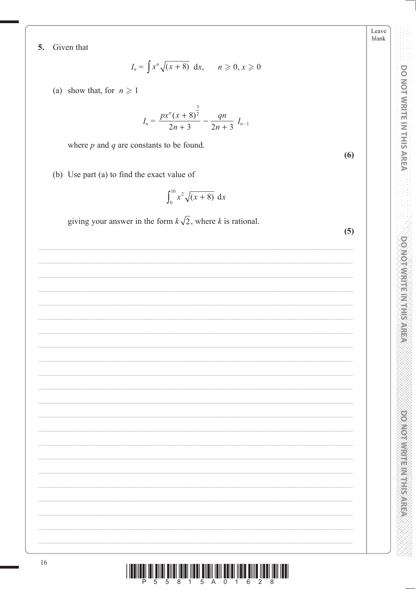Leave blank

 $(6)$ 

**DO NOT WRITE IN THIS AREA** 

**DOMOTAMENT RESERVE** 

**DOMOTIVES HER WEEKS** 

Given that 5.

$$
I_n = \int x^n \sqrt{(x+8)} \, dx, \qquad n \geqslant 0, x \geqslant 0
$$

(a) show that, for  $n \geq 1$ 

$$
I_n = \frac{px^n(x+8)^{\frac{3}{2}}}{2n+3} - \frac{qn}{2n+3} I_{n-1}
$$

where  $p$  and  $q$  are constants to be found.

(b) Use part (a) to find the exact value of

$$
\int_0^{10} x^2 \sqrt{(x+8)} \, \mathrm{d}x
$$

giving your answer in the form  $k\sqrt{2}$ , where k is rational.

| (5) |
|-----|
|     |
|     |
|     |
|     |
|     |
|     |
|     |
|     |
|     |
|     |
|     |
|     |
|     |
|     |
|     |
|     |
|     |
|     |
|     |
|     |

16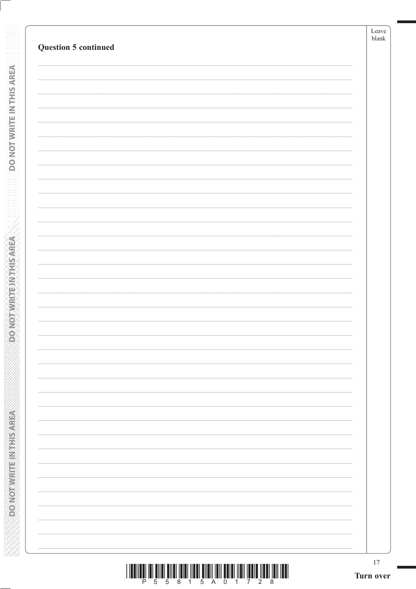**DONOTWRITEWOHIS AREA** 

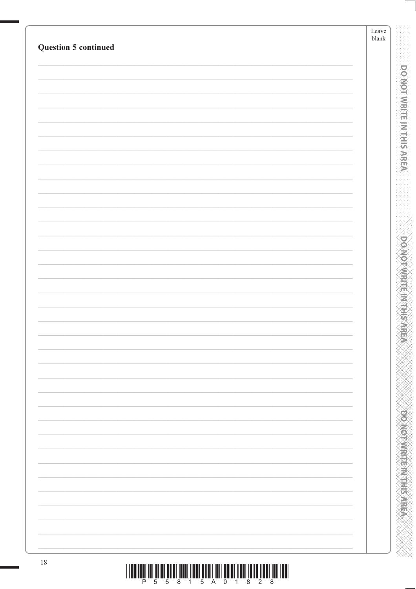|                                                                                                                 | Leave<br>${\tt blank}$ |                                         |
|-----------------------------------------------------------------------------------------------------------------|------------------------|-----------------------------------------|
| Question 5 continued                                                                                            |                        |                                         |
|                                                                                                                 |                        |                                         |
|                                                                                                                 |                        | <b>DO NOT WRITE IN THIS AREA</b>        |
|                                                                                                                 |                        |                                         |
|                                                                                                                 |                        |                                         |
|                                                                                                                 |                        |                                         |
|                                                                                                                 |                        |                                         |
|                                                                                                                 |                        |                                         |
|                                                                                                                 |                        |                                         |
|                                                                                                                 |                        |                                         |
|                                                                                                                 |                        |                                         |
|                                                                                                                 |                        |                                         |
|                                                                                                                 |                        |                                         |
|                                                                                                                 |                        | <b>DOMOTAME MARKS</b>                   |
|                                                                                                                 |                        |                                         |
|                                                                                                                 |                        |                                         |
|                                                                                                                 |                        |                                         |
|                                                                                                                 |                        |                                         |
|                                                                                                                 |                        |                                         |
|                                                                                                                 |                        |                                         |
|                                                                                                                 |                        |                                         |
|                                                                                                                 |                        |                                         |
|                                                                                                                 |                        |                                         |
|                                                                                                                 |                        |                                         |
|                                                                                                                 |                        |                                         |
|                                                                                                                 |                        |                                         |
|                                                                                                                 |                        |                                         |
|                                                                                                                 |                        |                                         |
|                                                                                                                 |                        | <b>PERSONAL PROPERTY AND INCOMESTED</b> |
|                                                                                                                 |                        |                                         |
|                                                                                                                 |                        |                                         |
|                                                                                                                 |                        |                                         |
| $18\,$<br><u>ו השורה השורה המוסדה המשורה המוסדה והמוסדה השורה השורה השורה השורה המוסדה השורה השורה המוסדה ו</u> |                        |                                         |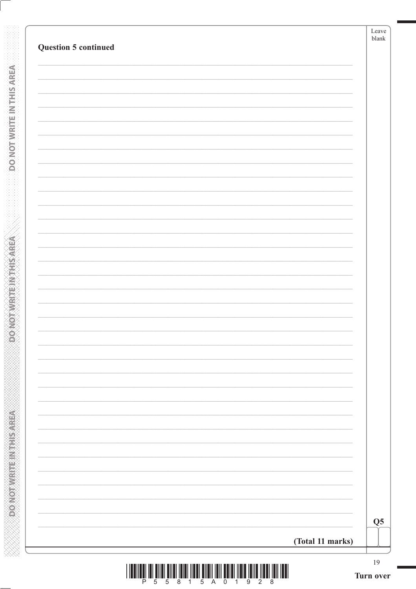| <b>Question 5 continued</b> | Leave<br>blank |
|-----------------------------|----------------|
|                             |                |
|                             |                |
|                             |                |
|                             |                |
|                             |                |
|                             |                |
|                             |                |
|                             |                |
|                             |                |
|                             |                |
|                             |                |
|                             |                |
|                             |                |
|                             |                |
|                             |                |
|                             |                |
|                             |                |
|                             |                |
|                             |                |
|                             |                |
|                             |                |
|                             |                |
|                             |                |
|                             |                |
|                             |                |
|                             |                |
|                             |                |
|                             |                |
|                             | Q <sub>5</sub> |
|                             |                |

**DONOTWEITEINTHISAREA**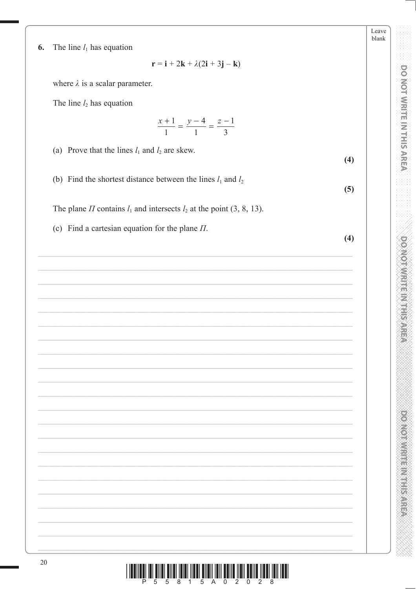Leave blank

 $(4)$ 

 $(5)$ 

 $(4)$ 

- **PONORA DE L'ANGELIA DE L'ANGELIA**
- i ur<sup>ë</sup>nur<sup>ë</sup>nur <sup>g</sup>erri trerënurik e për gjenë tre qër s Ш

The line  $l_1$  has equation 6.

 $\mathbf{r} = \mathbf{i} + 2\mathbf{k} + \lambda(2\mathbf{i} + 3\mathbf{j} - \mathbf{k})$ 

where  $\lambda$  is a scalar parameter.

The line  $l_2$  has equation

 $\frac{x+1}{1} = \frac{y-4}{1} = \frac{z-1}{3}$ 

(a) Prove that the lines  $l_1$  and  $l_2$  are skew.

(b) Find the shortest distance between the lines  $l_1$  and  $l_2$ 

The plane  $\Pi$  contains  $l_1$  and intersects  $l_2$  at the point (3, 8, 13).

(c) Find a cartesian equation for the plane  $\Pi$ .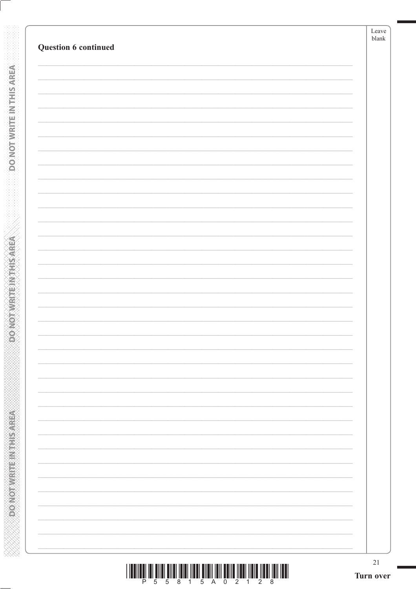|                          | Leave<br>$\ensuremath{\textrm{blank}}$ |
|--------------------------|----------------------------------------|
| Question 6 continued     |                                        |
|                          |                                        |
|                          |                                        |
|                          |                                        |
|                          |                                        |
|                          |                                        |
|                          |                                        |
|                          |                                        |
|                          |                                        |
|                          |                                        |
|                          |                                        |
|                          |                                        |
|                          |                                        |
|                          |                                        |
|                          |                                        |
|                          |                                        |
|                          |                                        |
|                          |                                        |
|                          |                                        |
|                          |                                        |
|                          |                                        |
|                          |                                        |
| $\overline{\phantom{0}}$ |                                        |
|                          |                                        |
|                          |                                        |
|                          |                                        |
|                          |                                        |
|                          |                                        |
|                          |                                        |
|                          |                                        |

**DONOTWEITEINTHISAREA** 

**SOONOT WRITEIN THIS AREA** 

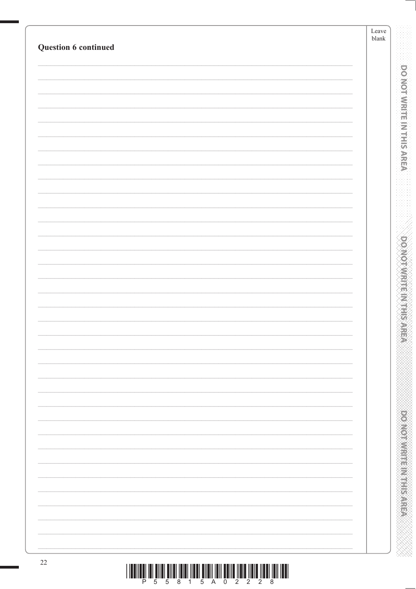| <b>Question 6 continued</b> | Leave<br>${\tt blank}$ |
|-----------------------------|------------------------|
|                             |                        |
|                             |                        |
|                             |                        |
|                             |                        |
|                             |                        |
|                             |                        |
|                             |                        |
|                             |                        |
|                             |                        |
|                             |                        |
|                             |                        |
|                             |                        |
|                             |                        |
|                             |                        |
|                             |                        |
|                             |                        |
|                             |                        |
|                             |                        |
|                             |                        |
|                             |                        |
|                             |                        |
|                             |                        |
|                             |                        |
|                             |                        |
|                             |                        |
|                             |                        |
|                             |                        |
|                             |                        |
|                             |                        |
|                             |                        |
|                             |                        |
|                             |                        |
|                             |                        |
|                             |                        |
|                             |                        |
|                             |                        |
|                             |                        |
|                             |                        |
|                             |                        |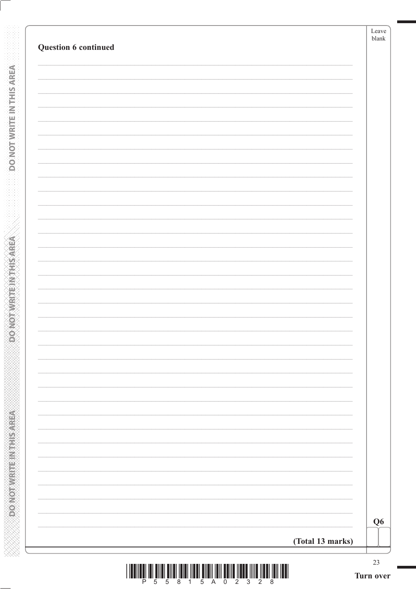| Question 6 continued |                  | blank          |
|----------------------|------------------|----------------|
|                      |                  |                |
|                      |                  |                |
|                      |                  |                |
|                      |                  |                |
|                      |                  |                |
|                      |                  |                |
|                      |                  |                |
|                      |                  |                |
|                      |                  |                |
|                      |                  |                |
|                      |                  |                |
|                      |                  |                |
|                      |                  |                |
|                      |                  |                |
|                      |                  |                |
|                      |                  |                |
|                      |                  | Q <sub>6</sub> |
|                      | (Total 13 marks) |                |

**DONOTWRITEINTHISMEA** 

**PONOTWEITEINTHISAREA**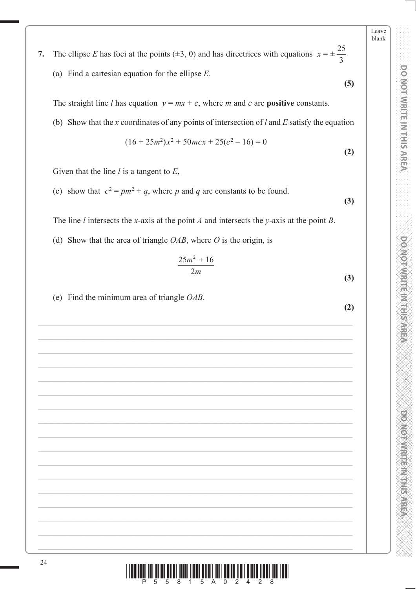**PONOT WRITE IN THIS AREA DO NOT WRITE IN THIS AREA DO NOT WRITE IN THIS AREA DO NOT WRITE IN THIS AREA DO NOT W DOMOTWRITEM THIS AREA** 

**PONONNIA E NEEDS EXPERI** 

blank 25

Leave

**7.** The ellipse *E* has foci at the points ( $\pm 3$ , 0) and has directrices with equations  $x = \pm 3$ 3 (a) Find a cartesian equation for the ellipse *E*.

**(5)**

The straight line *l* has equation  $y = mx + c$ , where *m* and *c* are **positive** constants.

(b) Show that the *x* coordinates of any points of intersection of *l* and *E* satisfy the equation

$$
(16 + 25m2)x2 + 50mcx + 25(c2 - 16) = 0
$$
\n(2)

Given that the line *l* is a tangent to *E*,

(c) show that  $c^2 = pm^2 + q$ , where *p* and *q* are constants to be found.

The line *l* intersects the *x*-axis at the point *A* and intersects the *y*-axis at the point *B*.

(d) Show that the area of triangle *OAB*, where *O* is the origin, is

$$
\frac{25m^2 + 16}{2m}
$$
 (3)

(e) Find the minimum area of triangle *OAB*.

**(3)**

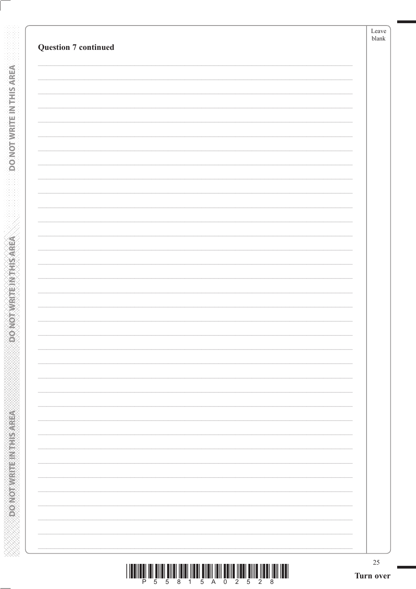|                             | Leave<br>$\ensuremath{\mathit{blank}}$ |
|-----------------------------|----------------------------------------|
| <b>Question 7 continued</b> |                                        |
|                             |                                        |
|                             |                                        |
|                             |                                        |
|                             |                                        |
|                             |                                        |
|                             |                                        |
|                             |                                        |
|                             |                                        |
|                             |                                        |
|                             |                                        |
|                             |                                        |
|                             |                                        |
|                             |                                        |
|                             |                                        |
|                             |                                        |
|                             |                                        |
|                             |                                        |
|                             |                                        |
|                             |                                        |
|                             |                                        |
|                             |                                        |
|                             |                                        |
|                             |                                        |
|                             |                                        |
|                             |                                        |
|                             |                                        |
|                             |                                        |
|                             |                                        |
|                             |                                        |
|                             |                                        |
|                             |                                        |
|                             |                                        |
|                             |                                        |

**DONOTWRITEWOHIS AREA** 

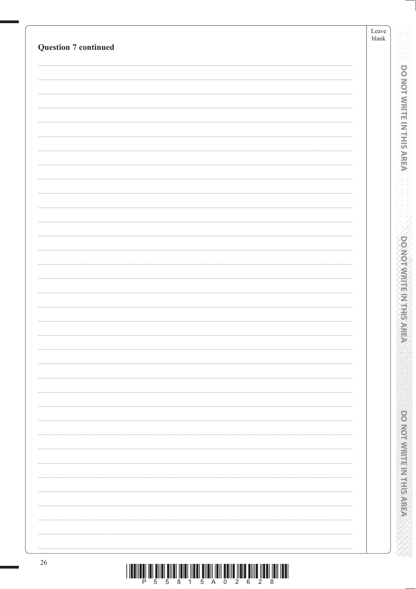| <b>Question 7 continued</b> | Leave<br>${\tt blank}$ |  |
|-----------------------------|------------------------|--|
|                             |                        |  |
|                             |                        |  |
|                             |                        |  |
|                             |                        |  |
|                             |                        |  |
|                             |                        |  |
|                             |                        |  |
|                             |                        |  |
|                             |                        |  |
|                             |                        |  |
|                             |                        |  |
|                             |                        |  |
|                             |                        |  |
|                             |                        |  |
|                             |                        |  |
|                             |                        |  |
|                             |                        |  |
|                             |                        |  |
|                             |                        |  |
|                             |                        |  |
|                             |                        |  |
|                             |                        |  |
|                             |                        |  |
|                             |                        |  |
|                             |                        |  |
|                             |                        |  |
|                             |                        |  |
|                             |                        |  |
|                             |                        |  |
|                             |                        |  |
|                             |                        |  |
|                             |                        |  |
|                             |                        |  |
|                             |                        |  |
|                             |                        |  |
|                             |                        |  |
|                             |                        |  |
|                             |                        |  |
|                             |                        |  |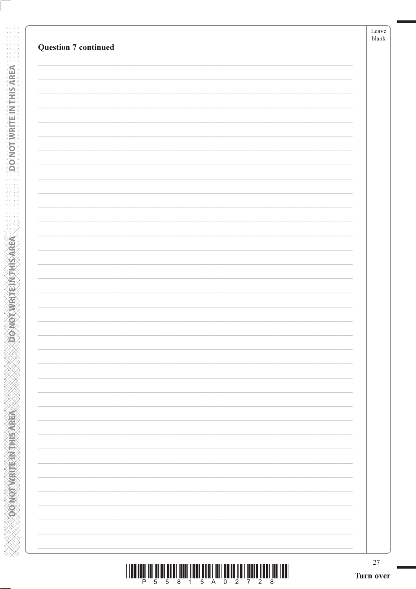| <b>Question 7 continued</b> |  |
|-----------------------------|--|
|                             |  |
|                             |  |
|                             |  |
|                             |  |
|                             |  |
|                             |  |
|                             |  |
|                             |  |
|                             |  |
|                             |  |
|                             |  |
|                             |  |
|                             |  |
|                             |  |
|                             |  |
|                             |  |
|                             |  |
|                             |  |
|                             |  |
|                             |  |
|                             |  |
|                             |  |
|                             |  |
|                             |  |
|                             |  |
|                             |  |
|                             |  |
|                             |  |
|                             |  |
|                             |  |
|                             |  |
|                             |  |
|                             |  |
|                             |  |

**DONOTWRITEWOHIS AREA** 

**Example 2012 The Model of Action**